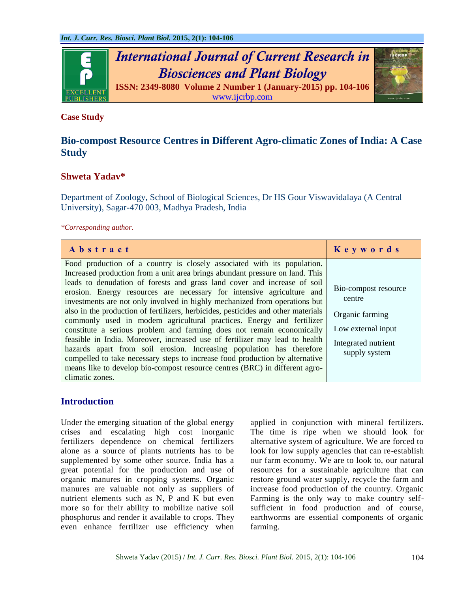

# **Case Study**

# **Bio-compost Resource Centres in Different Agro-climatic Zones of India: A Case Study**

# **Shweta Yadav\***

Department of Zoology, School of Biological Sciences, Dr HS Gour Viswavidalaya (A Central University), Sagar-470 003, Madhya Pradesh, India

*\*Corresponding author.*

| Abstract                                                                                                                                                                                                                                                                                                                                                                                                                                                                                                                                                                                                                                                                                                                                                                                                                                                                                                                                                                  | Keywords                                                                                                        |
|---------------------------------------------------------------------------------------------------------------------------------------------------------------------------------------------------------------------------------------------------------------------------------------------------------------------------------------------------------------------------------------------------------------------------------------------------------------------------------------------------------------------------------------------------------------------------------------------------------------------------------------------------------------------------------------------------------------------------------------------------------------------------------------------------------------------------------------------------------------------------------------------------------------------------------------------------------------------------|-----------------------------------------------------------------------------------------------------------------|
| Food production of a country is closely associated with its population.<br>Increased production from a unit area brings abundant pressure on land. This<br>leads to denudation of forests and grass land cover and increase of soil<br>erosion. Energy resources are necessary for intensive agriculture and<br>investments are not only involved in highly mechanized from operations but<br>also in the production of fertilizers, herbicides, pesticides and other materials<br>commonly used in modem agricultural practices. Energy and fertilizer<br>constitute a serious problem and farming does not remain economically<br>feasible in India. Moreover, increased use of fertilizer may lead to health<br>hazards apart from soil erosion. Increasing population has therefore<br>compelled to take necessary steps to increase food production by alternative<br>means like to develop bio-compost resource centres (BRC) in different agro-<br>climatic zones. | Bio-compost resource<br>centre<br>Organic farming<br>Low external input<br>Integrated nutrient<br>supply system |

# **Introduction**

Under the emerging situation of the global energy crises and escalating high cost inorganic fertilizers dependence on chemical fertilizers alone as a source of plants nutrients has to be supplemented by some other source. India has a great potential for the production and use of organic manures in cropping systems. Organic manures are valuable not only as suppliers of nutrient elements such as N, P and K but even more so for their ability to mobilize native soil phosphorus and render it available to crops. They even enhance fertilizer use efficiency when applied in conjunction with mineral fertilizers. The time is ripe when we should look for alternative system of agriculture. We are forced to look for low supply agencies that can re-establish our farm economy. We are to look to, our natural resources for a sustainable agriculture that can restore ground water supply, recycle the farm and increase food production of the country. Organic Farming is the only way to make country selfsufficient in food production and of course, earthworms are essential components of organic farming.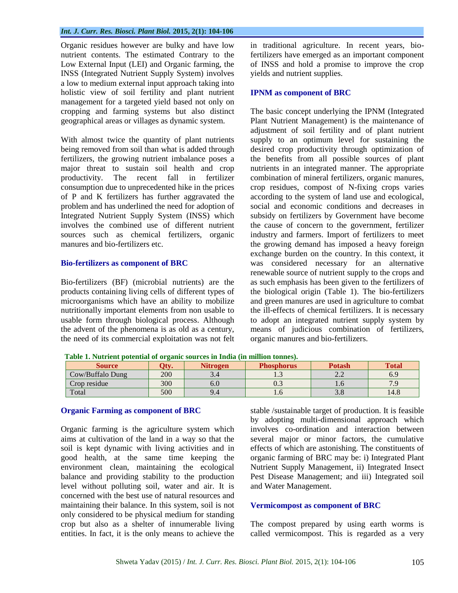#### *Int. J. Curr. Res. Biosci. Plant Biol.* **2015, 2(1): 104-106**

Organic residues however are bulky and have low nutrient contents. The estimated Contrary to the Low External Input (LEI) and Organic farming, the INSS (Integrated Nutrient Supply System) involves a low to medium external input approach taking into holistic view of soil fertility and plant nutrient management for a targeted yield based not only on cropping and farming systems but also distinct geographical areas or villages as dynamic system.

With almost twice the quantity of plant nutrients being removed from soil than what is added through fertilizers, the growing nutrient imbalance poses a major threat to sustain soil health and crop productivity. The recent fall in fertilizer consumption due to unprecedented hike in the prices of P and K fertilizers has further aggravated the problem and has underlined the need for adoption of Integrated Nutrient Supply System (INSS) which involves the combined use of different nutrient sources such as chemical fertilizers, organic manures and bio-fertilizers etc.

### **Bio-fertilizers as component of BRC**

Bio-fertilizers (BF) (microbial nutrients) are the products containing living cells of different types of microorganisms which have an ability to mobilize nutritionally important elements from non usable to usable form through biological process. Although the advent of the phenomena is as old as a century, the need of its commercial exploitation was not felt in traditional agriculture. In recent years, biofertilizers have emerged as an important component of INSS and hold a promise to improve the crop yields and nutrient supplies.

#### **IPNM as component of BRC**

The basic concept underlying the IPNM (Integrated Plant Nutrient Management) is the maintenance of adjustment of soil fertility and of plant nutrient supply to an optimum level for sustaining the desired crop productivity through optimization of the benefits from all possible sources of plant nutrients in an integrated manner. The appropriate combination of mineral fertilizers, organic manures, crop residues, compost of N-fixing crops varies according to the system of land use and ecological, social and economic conditions and decreases in subsidy on fertilizers by Government have become the cause of concern to the government, fertilizer industry and farmers. Import of fertilizers to meet the growing demand has imposed a heavy foreign exchange burden on the country. In this context, it was considered necessary for an alternative renewable source of nutrient supply to the crops and as such emphasis has been given to the fertilizers of the biological origin (Table 1). The bio-fertilizers and green manures are used in agriculture to combat the ill-effects of chemical fertilizers. It is necessary to adopt an integrated nutrient supply system by means of judicious combination of fertilizers, organic manures and bio-fertilizers.

| Source           |     | <b>Nitrogen</b> | <b>Phosphorus</b> | <b>Potash</b> | <b>Total</b> |
|------------------|-----|-----------------|-------------------|---------------|--------------|
| Cow/Buffalo Dung | 200 |                 | ر.                |               | 0.Y          |
| Crop residue     | 300 | O.U             | ∪.J               | 1.U           |              |
| Total            | 500 |                 |                   |               | 14.8         |

 **Table 1. Nutrient potential of organic sources in India (in million tonnes).**

#### **Organic Farming as component of BRC**

Organic farming is the agriculture system which aims at cultivation of the land in a way so that the soil is kept dynamic with living activities and in good health, at the same time keeping the environment clean, maintaining the ecological balance and providing stability to the production level without polluting soil, water and air. It is concerned with the best use of natural resources and maintaining their balance. In this system, soil is not only considered to be physical medium for standing crop but also as a shelter of innumerable living entities. In fact, it is the only means to achieve the stable /sustainable target of production. It is feasible by adopting multi-dimensional approach which involves co-ordination and interaction between several major or minor factors, the cumulative effects of which are astonishing. The constituents of organic farming of BRC may be: i) Integrated Plant Nutrient Supply Management, ii) Integrated Insect Pest Disease Management; and iii) Integrated soil and Water Management.

#### **Vermicompost as component of BRC**

The compost prepared by using earth worms is called vermicompost. This is regarded as a very